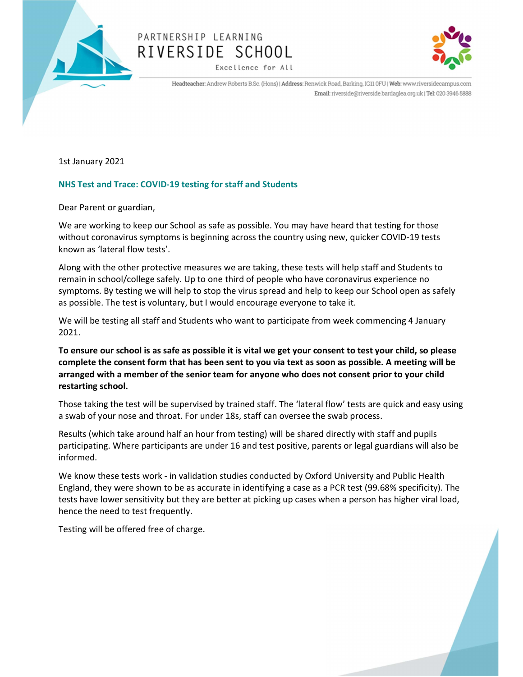

# PARTNERSHIP LEARNING RIVERSIDE SCHOOL

Excellence for All



Headteacher: Andrew Roberts B.Sc. (Hons) | Address: Renwick Road, Barking, IG11 0FU | Web: www.riversidecampus.com Email: riverside@riverside.bardaglea.org.uk | Tel: 020 3946 5888

1st January 2021

### NHS Test and Trace: COVID-19 testing for staff and Students

Dear Parent or guardian,

We are working to keep our School as safe as possible. You may have heard that testing for those without coronavirus symptoms is beginning across the country using new, quicker COVID-19 tests known as 'lateral flow tests'.

Along with the other protective measures we are taking, these tests will help staff and Students to remain in school/college safely. Up to one third of people who have coronavirus experience no symptoms. By testing we will help to stop the virus spread and help to keep our School open as safely as possible. The test is voluntary, but I would encourage everyone to take it.

We will be testing all staff and Students who want to participate from week commencing 4 January 2021.

To ensure our school is as safe as possible it is vital we get your consent to test your child, so please complete the consent form that has been sent to you via text as soon as possible. A meeting will be arranged with a member of the senior team for anyone who does not consent prior to your child restarting school.

Those taking the test will be supervised by trained staff. The 'lateral flow' tests are quick and easy using a swab of your nose and throat. For under 18s, staff can oversee the swab process.

Results (which take around half an hour from testing) will be shared directly with staff and pupils participating. Where participants are under 16 and test positive, parents or legal guardians will also be informed.

We know these tests work - in validation studies conducted by Oxford University and Public Health England, they were shown to be as accurate in identifying a case as a PCR test (99.68% specificity). The tests have lower sensitivity but they are better at picking up cases when a person has higher viral load, hence the need to test frequently.

Testing will be offered free of charge.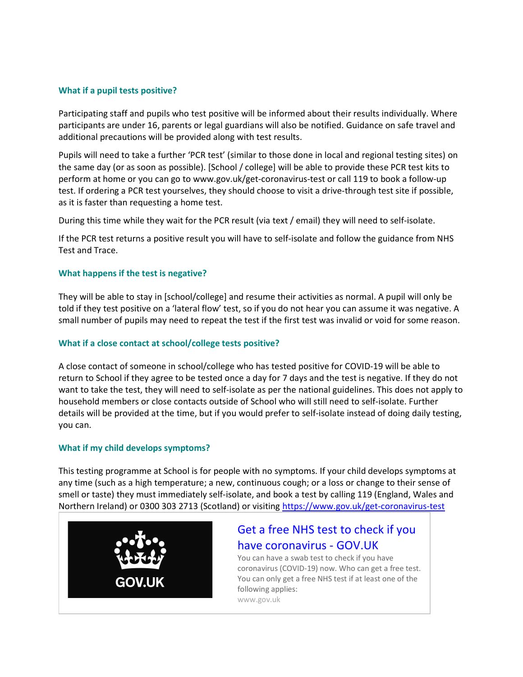#### What if a pupil tests positive?

Participating staff and pupils who test positive will be informed about their results individually. Where participants are under 16, parents or legal guardians will also be notified. Guidance on safe travel and additional precautions will be provided along with test results.

Pupils will need to take a further 'PCR test' (similar to those done in local and regional testing sites) on the same day (or as soon as possible). [School / college] will be able to provide these PCR test kits to perform at home or you can go to www.gov.uk/get-coronavirus-test or call 119 to book a follow-up test. If ordering a PCR test yourselves, they should choose to visit a drive-through test site if possible, as it is faster than requesting a home test.

During this time while they wait for the PCR result (via text / email) they will need to self-isolate.

If the PCR test returns a positive result you will have to self-isolate and follow the guidance from NHS Test and Trace.

#### What happens if the test is negative?

They will be able to stay in [school/college] and resume their activities as normal. A pupil will only be told if they test positive on a 'lateral flow' test, so if you do not hear you can assume it was negative. A small number of pupils may need to repeat the test if the first test was invalid or void for some reason.

#### What if a close contact at school/college tests positive?

A close contact of someone in school/college who has tested positive for COVID-19 will be able to return to School if they agree to be tested once a day for 7 days and the test is negative. If they do not want to take the test, they will need to self-isolate as per the national guidelines. This does not apply to household members or close contacts outside of School who will still need to self-isolate. Further details will be provided at the time, but if you would prefer to self-isolate instead of doing daily testing, you can.

#### What if my child develops symptoms?

This testing programme at School is for people with no symptoms. If your child develops symptoms at any time (such as a high temperature; a new, continuous cough; or a loss or change to their sense of smell or taste) they must immediately self-isolate, and book a test by calling 119 (England, Wales and Northern Ireland) or 0300 303 2713 (Scotland) or visiting https://www.gov.uk/get-coronavirus-test



## Get a free NHS test to check if you have coronavirus - GOV.UK

You can have a swab test to check if you have coronavirus (COVID-19) now. Who can get a free test. You can only get a free NHS test if at least one of the following applies: www.gov.uk